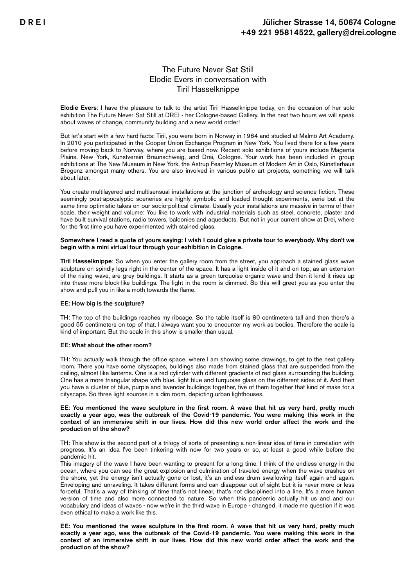# The Future Never Sat Still Elodie Evers in conversation with Tiril Hasselknippe

Elodie Evers: I have the pleasure to talk to the artist Tiril Hasselknippe today, on the occasion of her solo exhibition The Future Never Sat Still at DREI - her Cologne-based Gallery. In the next two hours we will speak about waves of change, community building and a new world order!

But let's start with a few hard facts: Tiril, you were born in Norway in 1984 and studied at Malmö Art Academy. In 2010 you participated in the Cooper Union Exchange Program in New York. You lived there for a few years before moving back to Norway, where you are based now. Recent solo exhibitions of yours include Magenta Plains, New York, Kunstverein Braunschweig, and Drei, Cologne. Your work has been included in group exhibitions at The New Museum in New York, the Astrup Fearnley Museum of Modern Art in Oslo, Künstlerhaus Bregenz amongst many others. You are also involved in various public art projects, something we will talk about later.

You create multilayered and multisensual installations at the junction of archeology and science fiction. These seemingly post-apocalyptic sceneries are highly symbolic and loaded thought experiments, eerie but at the same time optimistic takes on our socio-political climate. Usually your installations are massive in terms of their scale, their weight and volume: You like to work with industrial materials such as steel, concrete, plaster and have built survival stations, radio towers, balconies and aqueducts. But not in your current show at Drei, where for the first time you have experimented with stained glass.

## Somewhere I read a quote of yours saying: I wish I could give a private tour to everybody. Why don't we begin with a mini virtual tour through your exhibition in Cologne.

Tiril Hasselknippe: So when you enter the gallery room from the street, you approach a stained glass wave sculpture on spindly legs right in the center of the space. It has a light inside of it and on top, as an extension of the rising wave, are grey buildings. It starts as a green turquoise organic wave and then it kind it rises up into these more block-like buildings. The light in the room is dimmed. So this will greet you as you enter the show and pull you in like a moth towards the flame.

# EE: How big is the sculpture?

TH: The top of the buildings reaches my ribcage. So the table itself is 80 centimeters tall and then there's a good 55 centimeters on top of that. I always want you to encounter my work as bodies. Therefore the scale is kind of important. But the scale in this show is smaller than usual.

# EE: What about the other room?

TH: You actually walk through the office space, where I am showing some drawings, to get to the next gallery room. There you have some cityscapes, buildings also made from stained glass that are suspended from the ceiling, almost like lanterns. One is a red cylinder with different gradients of red glass surrounding the building. One has a more triangular shape with blue, light blue and turquoise glass on the different sides of it. And then you have a cluster of blue, purple and lavender buildings together, five of them together that kind of make for a cityscape. So three light sources in a dim room, depicting urban lighthouses.

## EE: You mentioned the wave sculpture in the first room. A wave that hit us very hard, pretty much exactly a year ago, was the outbreak of the Covid-19 pandemic. You were making this work in the context of an immersive shift in our lives. How did this new world order affect the work and the production of the show?

TH: This show is the second part of a trilogy of sorts of presenting a non-linear idea of time in correlation with progress. It's an idea I've been tinkering with now for two years or so, at least a good while before the pandemic hit.

This imagery of the wave I have been wanting to present for a long time. I think of the endless energy in the ocean, where you can see the great explosion and culmination of traveled energy when the wave crashes on the shore, yet the energy isn't actually gone or lost, it's an endless drum swallowing itself again and again. Enveloping and unraveling. It takes different forms and can disappear out of sight but it is never more or less forceful. That's a way of thinking of time that's not linear, that's not disciplined into a line. It's a more human version of time and also more connected to nature. So when this pandemic actually hit us and and our vocabulary and ideas of waves - now we're in the third wave in Europe - changed, it made me question if it was even ethical to make a work like this.

EE: You mentioned the wave sculpture in the first room. A wave that hit us very hard, pretty much exactly a year ago, was the outbreak of the Covid-19 pandemic. You were making this work in the context of an immersive shift in our lives. How did this new world order affect the work and the production of the show?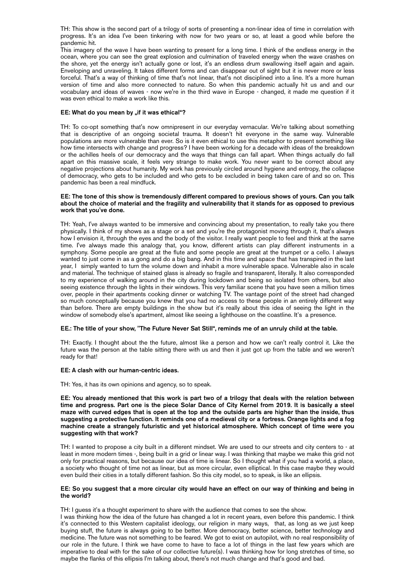TH: This show is the second part of a trilogy of sorts of presenting a non-linear idea of time in correlation with progress. It's an idea I've been tinkering with now for two years or so, at least a good while before the pandemic hit.

This imagery of the wave I have been wanting to present for a long time. I think of the endless energy in the ocean, where you can see the great explosion and culmination of traveled energy when the wave crashes on the shore, yet the energy isn't actually gone or lost, it's an endless drum swallowing itself again and again. Enveloping and unraveling. It takes different forms and can disappear out of sight but it is never more or less forceful. That's a way of thinking of time that's not linear, that's not disciplined into a line. It's a more human version of time and also more connected to nature. So when this pandemic actually hit us and and our vocabulary and ideas of waves - now we're in the third wave in Europe - changed, it made me question if it was even ethical to make a work like this.

# EE: What do you mean by "if it was ethical"?

TH: To co-opt something that's now omnipresent in our everyday vernacular. We're talking about something that is descriptive of an ongoing societal trauma. It doesn't hit everyone in the same way. Vulnerable populations are more vulnerable than ever. So is it even ethical to use this metaphor to present something like how time intersects with change and progress? I have been working for a decade with ideas of the breakdown or the achilles heels of our democracy and the ways that things can fall apart. When things actually do fall apart on this massive scale, it feels very strange to make work. You never want to be correct about any negative projections about humanity. My work has previously circled around hygiene and entropy, the collapse of democracy, who gets to be included and who gets to be excluded in being taken care of and so on. This pandemic has been a real mindfuck.

## EE: The tone of this show is tremendously different compared to previous shows of yours. Can you talk about the choice of material and the fragility and vulnerability that it stands for as opposed to previous work that you've done.

TH: Yeah, I've always wanted to be immersive and convincing about my presentation, to really take you there physically. I think of my shows as a stage or a set and you're the protagonist moving through it, that's always how I envision it, through the eyes and the body of the visitor. I really want people to feel and think at the same time. I've always made this analogy that, you know, different artists can play different instruments in a symphony. Some people are great at the flute and some people are great at the trumpet or a cello. I always wanted to just come in as a gong and do a big bang. And in this time and space that has transpired in the last year, I simply wanted to turn the volume down and inhabit a more vulnerable space. Vulnerable also in scale and material. The technique of stained glass is already so fragile and transparent, literally. It also corresponded to my experience of walking around in the city during lockdown and being so isolated from others, but also seeing existence through the lights in their windows. This very familiar scene that you have seen a million times over, people in their apartments cooking dinner or watching TV. The vantage point of the street had changed so much conceptually because you knew that you had no access to these people in an entirely different way than before. There are empty buildings in the show but it's really about this idea of seeing the light in the window of somebody else's apartment, almost like seeing a lighthouse on the coastline. It's a presence.

# EE.: The title of your show, "The Future Never Sat Still", reminds me of an unruly child at the table.

TH: Exactly. I thought about the the future, almost like a person and how we can't really control it. Like the future was the person at the table sitting there with us and then it just got up from the table and we weren't ready for that!

# EE: A clash with our human-centric ideas.

TH: Yes, it has its own opinions and agency, so to speak.

EE: You already mentioned that this work is part two of a trilogy that deals with the relation between time and progress. Part one is the piece Solar Dance of City Kernel from 2019. It is basically a steel maze with curved edges that is open at the top and the outside parts are higher than the inside, thus suggesting a protective function. It reminds one of a medieval city or a fortress. Orange lights and a fog machine create a strangely futuristic and yet historical atmosphere. Which concept of time were you suggesting with that work?

TH: I wanted to propose a city built in a different mindset. We are used to our streets and city centers to - at least in more modern times -, being built in a grid or linear way. I was thinking that maybe we make this grid not only for practical reasons, but because our idea of time is linear. So I thought what if you had a world, a place, a society who thought of time not as linear, but as more circular, even elliptical. In this case maybe they would even build their cities in a totally different fashion. So this city model, so to speak, is like an ellipsis.

# EE: So you suggest that a more circular city would have an effect on our way of thinking and being in the world?

TH: I guess it's a thought experiment to share with the audience that comes to see the show.

I was thinking how the idea of the future has changed a lot in recent years, even before this pandemic. I think it's connected to this Western capitalist ideology, our religion in many ways, that, as long as we just keep buying stuff, the future is always going to be better. More democracy, better science, better technology and medicine. The future was not something to be feared. We got to exist on autopilot, with no real responsibility of our role in the future. I think we have come to have to face a lot of things in the last few years which are imperative to deal with for the sake of our collective future(s). I was thinking how for long stretches of time, so maybe the flanks of this ellipsis I'm talking about, there's not much change and that's good and bad.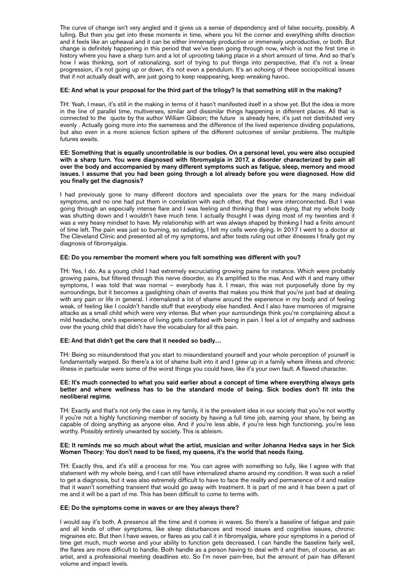The curve of change isn't very angled and it gives us a sense of dependency and of false security, possibly. A lulling. But then you get into these moments in time, where you hit the corner and everything shifts direction and it feels like an upheaval and it can be either immensely productive or immensely unproductive, or both. But change is definitely happening in this period that we've been going through now, which is not the first time in history where you have a sharp turn and a lot of uprooting taking place in a short amount of time. And so that's how I was thinking, sort of rationalizing, sort of trying to put things into perspective, that it's not a linear progression, it's not going up or down, it's not even a pendulum. It's an echoing of these sociopolitical issues that if not actually dealt with, are just going to keep reappearing, keep wreaking havoc.

# EE: And what is your proposal for the third part of the trilogy? Is that something still in the making?

TH: Yeah, I mean, it's still in the making in terms of it hasn't manifested itself in a show yet. But the idea is more in the line of parallel time, multiverses, similar and dissimilar things happening in different places. All that is connected to the quote by the author William Gibson; the future is already here, it's just not distributed very evenly . Actually going more into the sameness and the difference of the lived experience dividing populations, but also even in a more science fiction sphere of the different outcomes of similar problems. The multiple futures awaits.

#### EE: Something that is equally uncontrollable is our bodies. On a personal level, you were also occupied with a sharp turn. You were diagnosed with fibromyalgia in 2017, a disorder characterized by pain all over the body and accompanied by many different symptoms such as fatigue, sleep, memory and mood issues. I assume that you had been going through a lot already before you were diagnosed. How did you finally get the diagnosis?

I had previously gone to many different doctors and specialists over the years for the many individual symptoms, and no one had put them in correlation with each other, that they were interconnected. But I was going through an especially intense flare and I was feeling and thinking that I was dying, that my whole body was shutting down and I wouldn't have much time. I actually thought I was dying most of my twenties and it was a very heavy mindset to have. My relationship with art was always shaped by thinking I had a finite amount of time left. The pain was just so burning, so radiating, I felt my cells were dying. In 2017 I went to a doctor at The Cleveland Clinic and presented all of my symptoms, and after tests ruling out other illnesses I finally got my diagnosis of fibromyalgia.

# EE: Do you remember the moment where you felt something was different with you?

TH: Yes, I do. As a young child I had extremely excruciating growing pains for instance. Which were probably growing pains, but filtered through this nerve disorder, so it's amplified to the max. And with it and many other symptoms, I was told that was normal – everybody has it. I mean, this was not purposefully done by my surroundings, but it becomes a gaslighting chain of events that makes you think that you're just bad at dealing with any pain or life in general. I internalized a lot of shame around the experience in my body and of feeling weak, of feeling like I couldn't handle stuff that everybody else handled. And I also have memories of migraine attacks as a small child which were very intense. But when your surroundings think you're complaining about a mild headache, one's experience of living gets conflated with being in pain. I feel a lot of empathy and sadness over the young child that didn't have the vocabulary for all this pain.

#### EE: And that didn't get the care that it needed so badly…

TH: Being so misunderstood that you start to misunderstand yourself and your whole perception of yourself is fundamentally warped. So there's a lot of shame built into it and I grew up in a family where illness and chronic illness in particular were some of the worst things you could have, like it's your own fault. A flawed character.

#### EE: It's much connected to what you said earlier about a concept of time where everything always gets better and where wellness has to be the standard mode of being. Sick bodies don't fit into the neoliberal regime.

TH: Exactly and that's not only the case in my family, it is the prevalent idea in our society that you're not worthy if you're not a highly functioning member of society by having a full time job, earning your share, by being as capable of doing anything as anyone else. And if you're less able, if you're less high functioning, you're less worthy. Possibly entirely unwanted by society. This is ableism.

# EE: It reminds me so much about what the artist, musician and writer Johanna Hedva says in her Sick Women Theory: You don't need to be fixed, my queens, it's the world that needs fixing.

TH: Exactly this, and it's still a process for me. You can agree with something so fully, like I agree with that statement with my whole being, and I can still have internalized shame around my condition. It was such a relief to get a diagnosis, but it was also extremely difficult to have to face the reality and permanence of it and realize that it wasn't something transient that would go away with treatment. It is part of me and it has been a part of me and it will be a part of me. This has been difficult to come to terms with.

# EE: Do the symptoms come in waves or are they always there?

I would say it's both. A presence all the time and it comes in waves. So there's a baseline of fatigue and pain and all kinds of other symptoms, like sleep disturbances and mood issues and cognitive issues, chronic migraines etc. But then I have waves, or flares as you call it in fibromyalgia, where your symptoms in a period of time get much, much worse and your ability to function gets decreased. I can handle the baseline fairly well, the flares are more difficult to handle. Both handle as a person having to deal with it and then, of course, as an artist, and a professional meeting deadlines etc. So I'm never pain-free, but the amount of pain has different volume and impact levels.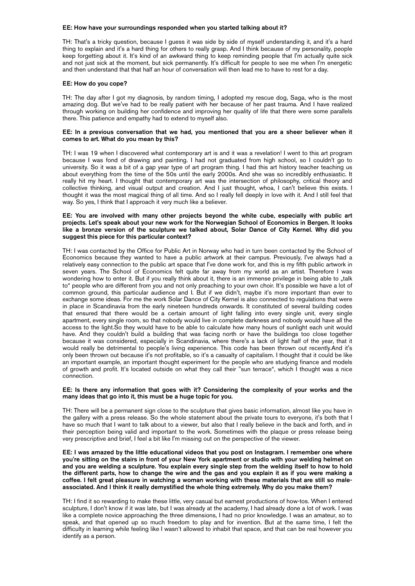#### EE: How have your surroundings responded when you started talking about it?

TH: That's a tricky question, because I guess it was side by side of myself understanding it, and it's a hard thing to explain and it's a hard thing for others to really grasp. And I think because of my personality, people keep forgetting about it. It's kind of an awkward thing to keep reminding people that I'm actually quite sick and not just sick at the moment, but sick permanently. It's difficult for people to see me when I'm energetic and then understand that that half an hour of conversation will then lead me to have to rest for a day.

#### EE: How do you cope?

TH: The day after I got my diagnosis, by random timing, I adopted my rescue dog, Saga, who is the most amazing dog. But we've had to be really patient with her because of her past trauma. And I have realized through working on building her confidence and improving her quality of life that there were some parallels there. This patience and empathy had to extend to myself also.

## EE: In a previous conversation that we had, you mentioned that you are a sheer believer when it comes to art. What do you mean by this?

TH: I was 19 when I discovered what contemporary art is and it was a revelation! I went to this art program because I was fond of drawing and painting. I had not graduated from high school, so I couldn't go to university. So it was a bit of a gap year type of art program thing. I had this art history teacher teaching us about everything from the time of the 50s until the early 2000s. And she was so incredibly enthusiastic. It really hit my heart. I thought that contemporary art was the intersection of philosophy, critical theory and collective thinking, and visual output and creation. And I just thought, whoa, I can't believe this exists. I thought it was the most magical thing of all time. And so I really fell deeply in love with it. And I still feel that way. So yes, I think that I approach it very much like a believer.

## EE: You are involved with many other projects beyond the white cube, especially with public art projects. Let's speak about your new work for the Norwegian School of Economics in Bergen. It looks like a bronze version of the sculpture we talked about, Solar Dance of City Kernel. Why did you suggest this piece for this particular context?

TH: I was contacted by the Office for Public Art in Norway who had in turn been contacted by the School of Economics because they wanted to have a public artwork at their campus. Previously, I've always had a relatively easy connection to the public art space that I've done work for, and this is my fifth public artwork in seven years. The School of Economics felt quite far away from my world as an artist. Therefore I was wondering how to enter it. But if you really think about it, there is an immense privilege in being able to "talk to" people who are different from you and not only preaching to your own choir. It's possible we have a lot of common ground, this particular audience and I. But if we didn't, maybe it's more important than ever to exchange some ideas. For me the work Solar Dance of City Kernel is also connected to regulations that were in place in Scandinavia from the early nineteen hundreds onwards. It constituted of several building codes that ensured that there would be a certain amount of light falling into every single unit, every single apartment, every single room, so that nobody would live in complete darkness and nobody would have all the access to the light.So they would have to be able to calculate how many hours of sunlight each unit would have. And they couldn't build a building that was facing north or have the buildings too close together because it was considered, especially in Scandinavia, where there's a lack of light half of the year, that it would really be detrimental to people's living experience. This code has been thrown out recently.And it's only been thrown out because it's not profitable, so it's a casualty of capitalism. I thought that it could be like an important example, an important thought experiment for the people who are studying finance and models of growth and profit. It's located outside on what they call their "sun terrace", which I thought was a nice connection.

#### EE: Is there any information that goes with it? Considering the complexity of your works and the many ideas that go into it, this must be a huge topic for you.

TH: There will be a permanent sign close to the sculpture that gives basic information, almost like you have in the gallery with a press release. So the whole statement about the private tours to everyone, it's both that I have so much that I want to talk about to a viewer, but also that I really believe in the back and forth, and in their perception being valid and important to the work. Sometimes with the plaque or press release being very prescriptive and brief, I feel a bit like I'm missing out on the perspective of the viewer.

EE: I was amazed by the little educational videos that you post on Instagram. I remember one where you're sitting on the stairs in front of your New York apartment or studio with your welding helmet on and you are welding a sculpture. You explain every single step from the welding itself to how to hold the different parts, how to change the wire and the gas and you explain it as if you were making a coffee. I felt great pleasure in watching a woman working with these materials that are still so maleassociated. And I think it really demystified the whole thing extremely. Why do you make them?

TH: I find it so rewarding to make these little, very casual but earnest productions of how-tos. When I entered sculpture, I don't know if it was late, but I was already at the academy, I had already done a lot of work. I was like a complete novice approaching the three dimensions, I had no prior knowledge. I was an amateur, so to speak, and that opened up so much freedom to play and for invention. But at the same time, I felt the difficulty in learning while feeling like I wasn't allowed to inhabit that space, and that can be real however you identify as a person.